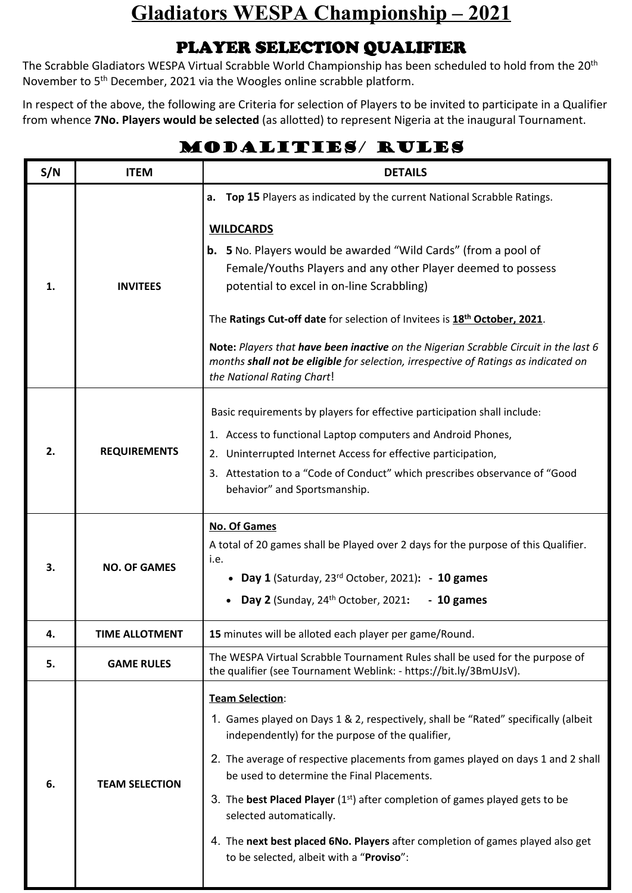## **Gladiators WESPA Championship – 2021**

## **PLAYER SELECTION QUALIFIER**

The Scrabble Gladiators WESPA Virtual Scrabble World Championship has been scheduled to hold from the 20<sup>th</sup> November to 5<sup>th</sup> December, 2021 via the Woogles online scrabble platform.

In respect of the above, the following are Criteria for selection of Players to be invited to participate in a Qualifier from whence **7No. Players would be selected** (as allotted) to represent Nigeria at the inaugural Tournament.

## **MODALITIES/ RULES**

| S/N | <b>ITEM</b>           | <b>DETAILS</b>                                                                                                                                                                                                                                                                                                                                                                                                                                                                                                                                                               |
|-----|-----------------------|------------------------------------------------------------------------------------------------------------------------------------------------------------------------------------------------------------------------------------------------------------------------------------------------------------------------------------------------------------------------------------------------------------------------------------------------------------------------------------------------------------------------------------------------------------------------------|
| 1.  | <b>INVITEES</b>       | a. Top 15 Players as indicated by the current National Scrabble Ratings.<br><b>WILDCARDS</b><br><b>b.</b> 5 No. Players would be awarded "Wild Cards" (from a pool of<br>Female/Youths Players and any other Player deemed to possess<br>potential to excel in on-line Scrabbling)<br>The Ratings Cut-off date for selection of Invitees is 18th October, 2021.<br>Note: Players that have been inactive on the Nigerian Scrabble Circuit in the last 6<br>months shall not be eligible for selection, irrespective of Ratings as indicated on<br>the National Rating Chart! |
| 2.  | <b>REQUIREMENTS</b>   | Basic requirements by players for effective participation shall include:<br>1. Access to functional Laptop computers and Android Phones,<br>Uninterrupted Internet Access for effective participation,<br>2.<br>3. Attestation to a "Code of Conduct" which prescribes observance of "Good<br>behavior" and Sportsmanship.                                                                                                                                                                                                                                                   |
| 3.  | <b>NO. OF GAMES</b>   | <b>No. Of Games</b><br>A total of 20 games shall be Played over 2 days for the purpose of this Qualifier.<br>i.e.<br>• Day 1 (Saturday, 23rd October, 2021): - 10 games<br>Day 2 (Sunday, $24th$ October, 2021:<br>$-10$ games                                                                                                                                                                                                                                                                                                                                               |
| 4.  | TIME ALLOTMENT        | 15 minutes will be alloted each player per game/Round.                                                                                                                                                                                                                                                                                                                                                                                                                                                                                                                       |
| 5.  | <b>GAME RULES</b>     | The WESPA Virtual Scrabble Tournament Rules shall be used for the purpose of<br>the qualifier (see Tournament Weblink: - https://bit.ly/3BmUJsV).                                                                                                                                                                                                                                                                                                                                                                                                                            |
| 6.  | <b>TEAM SELECTION</b> | <b>Team Selection:</b><br>1. Games played on Days 1 & 2, respectively, shall be "Rated" specifically (albeit<br>independently) for the purpose of the qualifier,<br>2. The average of respective placements from games played on days 1 and 2 shall<br>be used to determine the Final Placements.<br>3. The best Placed Player (1 <sup>st</sup> ) after completion of games played gets to be<br>selected automatically.<br>4. The next best placed 6No. Players after completion of games played also get<br>to be selected, albeit with a "Proviso":                       |